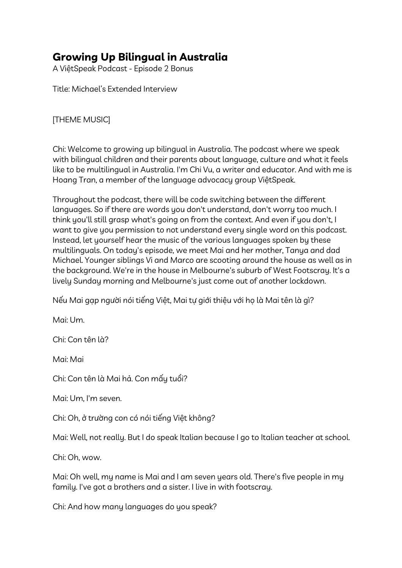## **Growing Up Bilingual in Australia**

A ViệtSpeak Podcast - Episode 2 Bonus

Title: Michael's Extended Interview

[THEME MUSIC]

Chi: Welcome to growing up bilingual in Australia. The podcast where we speak with bilingual children and their parents about language, culture and what it feels like to be multilingual in Australia. I'm Chi Vu, a writer and educator. And with me is Hoang Tran, a member of the language advocacy group ViệtSpeak.

Throughout the podcast, there will be code switching between the different languages. So if there are words you don't understand, don't worry too much. I think you'll still grasp what's going on from the context. And even if you don't, I want to give you permission to not understand every single word on this podcast. Instead, let yourself hear the music of the various languages spoken by these multilinguals. On today's episode, we meet Mai and her mother, Tanya and dad Michael. Younger siblings Vi and Marco are scooting around the house as well as in the background. We're in the house in Melbourne's suburb of West Footscray. It's a lively Sunday morning and Melbourne's just come out of another lockdown.

Nếu Mai gạp người nói tiếng Việt, Mai tự giới thiệu với họ là Mai tên là gì?

Mai: Um.

Chi: Con tên là?

Mai: Mai

Chi: Con tên là Mai hả. Con mấy tuổi?

Mai: Um, I'm seven.

Chi: Oh, ở trường con có nói tiếng Việt không?

Mai: Well, not really. But I do speak Italian because I go to Italian teacher at school.

Chi: Oh, wow.

Mai: Oh well, my name is Mai and I am seven years old. There's five people in my family. I've got a brothers and a sister. I live in with footscray.

Chi: And how many languages do you speak?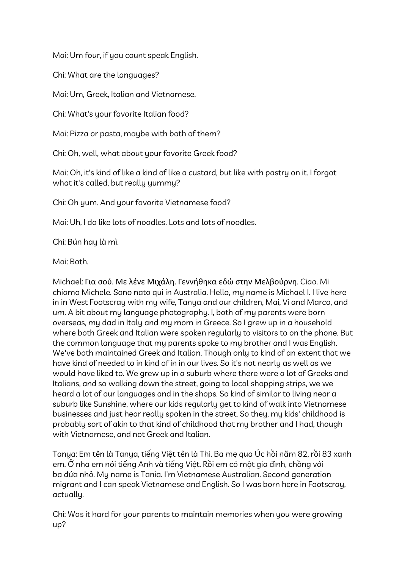Mai: Um four, if you count speak English.

Chi: What are the languages?

Mai: Um, Greek, Italian and Vietnamese.

Chi: What's your favorite Italian food?

Mai: Pizza or pasta, maybe with both of them?

Chi: Oh, well, what about your favorite Greek food?

Mai: Oh, it's kind of like a kind of like a custard, but like with pastry on it. I forgot what it's called, but really yummy?

Chi: Oh yum. And your favorite Vietnamese food?

Mai: Uh, I do like lots of noodles. Lots and lots of noodles.

Chi: Bún hay là mì.

Mai: Both.

Michael: Για σού. Με λένε Μιχάλη. Γεννήθηκα εδώ στην Μελβούρνη. Ciao. Mi chiamo Michele. Sono nato qui in Australia. Hello, my name is Michael I. I live here in in West Footscray with my wife, Tanya and our children, Mai, Vi and Marco, and um. A bit about my language photography. I, both of my parents were born overseas, my dad in Italy and my mom in Greece. So I grew up in a household where both Greek and Italian were spoken regularly to visitors to on the phone. But the common language that my parents spoke to my brother and I was English. We've both maintained Greek and Italian. Though only to kind of an extent that we have kind of needed to in kind of in in our lives. So it's not nearly as well as we would have liked to. We grew up in a suburb where there were a lot of Greeks and Italians, and so walking down the street, going to local shopping strips, we we heard a lot of our languages and in the shops. So kind of similar to living near a suburb like Sunshine, where our kids regularly get to kind of walk into Vietnamese businesses and just hear really spoken in the street. So they, my kids' childhood is probably sort of akin to that kind of childhood that my brother and I had, though with Vietnamese, and not Greek and Italian.

Tanya: Em tên là Tanya, tiếng Việt tên là Thi. Ba mẹ qua Úc hồi năm 82, rồi 83 xanh em. Ở nha em nói tiếng Anh và tiếng Việt. Rồi em có một gia đình, chồng với ba đứa nhỏ. My name is Tania. I'm Vietnamese Australian. Second generation migrant and I can speak Vietnamese and English. So I was born here in Footscray, actually.

Chi: Was it hard for your parents to maintain memories when you were growing up?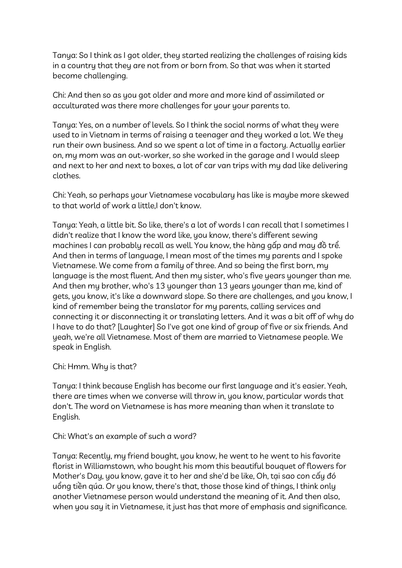Tanya: So I think as I got older, they started realizing the challenges of raising kids in a country that they are not from or born from. So that was when it started become challenging.

Chi: And then so as you got older and more and more kind of assimilated or acculturated was there more challenges for your your parents to.

Tanya: Yes, on a number of levels. So I think the social norms of what they were used to in Vietnam in terms of raising a teenager and they worked a lot. We they run their own business. And so we spent a lot of time in a factory. Actually earlier on, my mom was an out-worker, so she worked in the garage and I would sleep and next to her and next to boxes, a lot of car van trips with my dad like delivering clothes.

Chi: Yeah, so perhaps your Vietnamese vocabulary has like is maybe more skewed to that world of work a little,I don't know.

Tanya: Yeah, a little bit. So like, there's a lot of words I can recall that I sometimes I didn't realize that I know the word like, you know, there's different sewing machines I can probably recall as well. You know, the hàng gấp and may đồ trể. And then in terms of language, I mean most of the times my parents and I spoke Vietnamese. We come from a family of three. And so being the first born, my language is the most fluent. And then my sister, who's five years younger than me. And then my brother, who's 13 younger than 13 years younger than me, kind of gets, you know, it's like a downward slope. So there are challenges, and you know, I kind of remember being the translator for my parents, calling services and connecting it or disconnecting it or translating letters. And it was a bit off of why do I have to do that? [Laughter] So I've got one kind of group of five or six friends. And yeah, we're all Vietnamese. Most of them are married to Vietnamese people. We speak in English.

Chi: Hmm. Why is that?

Tanya: I think because English has become our first language and it's easier. Yeah, there are times when we converse will throw in, you know, particular words that don't. The word on Vietnamese is has more meaning than when it translate to English.

Chi: What's an example of such a word?

Tanya: Recently, my friend bought, you know, he went to he went to his favorite florist in Williamstown, who bought his mom this beautiful bouquet of flowers for Mother's Day, you know, gave it to her and she'd be like, Oh, tại sao con cấy đó uổng tiền qúa. Or you know, there's that, those those kind of things, I think only another Vietnamese person would understand the meaning of it. And then also, when you say it in Vietnamese, it just has that more of emphasis and significance.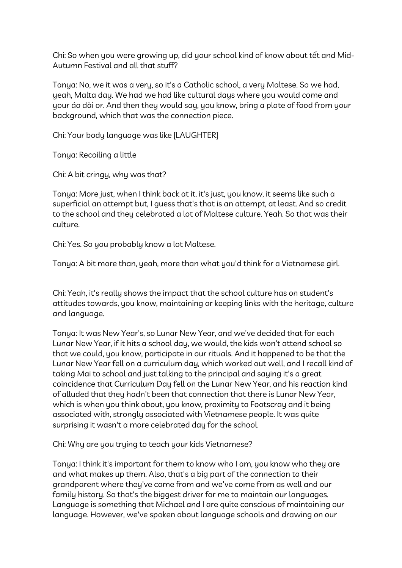Chi: So when you were growing up, did your school kind of know about tết and Mid-Autumn Festival and all that stuff?

Tanya: No, we it was a very, so it's a Catholic school, a very Maltese. So we had, yeah, Malta day. We had we had like cultural days where you would come and your áo dài or. And then they would say, you know, bring a plate of food from your background, which that was the connection piece.

Chi: Your body language was like [LAUGHTER]

Tanya: Recoiling a little

Chi: A bit cringy, why was that?

Tanya: More just, when I think back at it, it's just, you know, it seems like such a superficial an attempt but, I guess that's that is an attempt, at least. And so credit to the school and they celebrated a lot of Maltese culture. Yeah. So that was their culture.

Chi: Yes. So you probably know a lot Maltese.

Tanya: A bit more than, yeah, more than what you'd think for a Vietnamese girl.

Chi: Yeah, it's really shows the impact that the school culture has on student's attitudes towards, you know, maintaining or keeping links with the heritage, culture and language.

Tanya: It was New Year's, so Lunar New Year, and we've decided that for each Lunar New Year, if it hits a school day, we would, the kids won't attend school so that we could, you know, participate in our rituals. And it happened to be that the Lunar New Year fell on a curriculum day, which worked out well, and I recall kind of taking Mai to school and just talking to the principal and saying it's a great coincidence that Curriculum Day fell on the Lunar New Year, and his reaction kind of alluded that they hadn't been that connection that there is Lunar New Year, which is when you think about, you know, proximity to Footscray and it being associated with, strongly associated with Vietnamese people. It was quite surprising it wasn't a more celebrated day for the school.

Chi: Why are you trying to teach your kids Vietnamese?

Tanya: I think it's important for them to know who I am, you know who they are and what makes up them. Also, that's a big part of the connection to their grandparent where they've come from and we've come from as well and our family history. So that's the biggest driver for me to maintain our languages. Language is something that Michael and I are quite conscious of maintaining our language. However, we've spoken about language schools and drawing on our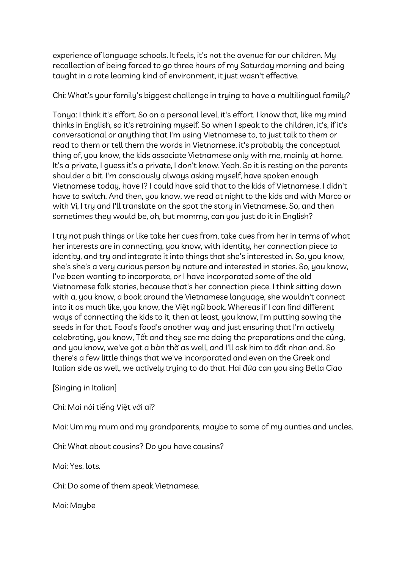experience of language schools. It feels, it's not the avenue for our children. My recollection of being forced to go three hours of my Saturday morning and being taught in a rote learning kind of environment, it just wasn't effective.

Chi: What's your family's biggest challenge in trying to have a multilingual family?

Tanya: I think it's effort. So on a personal level, it's effort. I know that, like my mind thinks in English, so it's retraining myself. So when I speak to the children, it's, if it's conversational or anything that I'm using Vietnamese to, to just talk to them or read to them or tell them the words in Vietnamese, it's probably the conceptual thing of, you know, the kids associate Vietnamese only with me, mainly at home. It's a private, I guess it's a private, I don't know. Yeah. So it is resting on the parents shoulder a bit. I'm consciously always asking myself, have spoken enough Vietnamese today, have I? I could have said that to the kids of Vietnamese. I didn't have to switch. And then, you know, we read at night to the kids and with Marco or with Vi, I try and I'll translate on the spot the story in Vietnamese. So, and then sometimes they would be, oh, but mommy, can you just do it in English?

I try not push things or like take her cues from, take cues from her in terms of what her interests are in connecting, you know, with identity, her connection piece to identity, and try and integrate it into things that she's interested in. So, you know, she's she's a very curious person by nature and interested in stories. So, you know, I've been wanting to incorporate, or I have incorporated some of the old Vietnamese folk stories, because that's her connection piece. I think sitting down with a, you know, a book around the Vietnamese language, she wouldn't connect into it as much like, you know, the Việt ngữ book. Whereas if I can find different ways of connecting the kids to it, then at least, you know, I'm putting sowing the seeds in for that. Food's food's another way and just ensuring that I'm actively celebrating, you know, Tết and they see me doing the preparations and the cúng, and you know, we've got a bàn thờ as well, and I'll ask him to đốt nhan and. So there's a few little things that we've incorporated and even on the Greek and Italian side as well, we actively trying to do that. Hai đứa can you sing Bella Ciao

[Singing in Italian]

Chi: Mai nói tiếng Việt với ai?

Mai: Um my mum and my grandparents, maybe to some of my aunties and uncles.

Chi: What about cousins? Do you have cousins?

Mai: Yes, lots*.*

Chi: Do some of them speak Vietnamese.

Mai: Maybe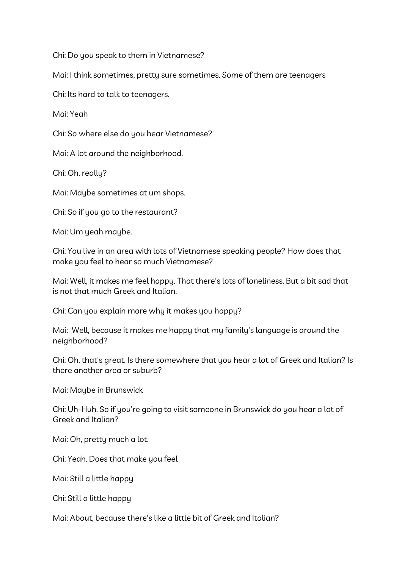Chi: Do you speak to them in Vietnamese?

Mai: I think sometimes, pretty sure sometimes. Some of them are teenagers

Chi: Its hard to talk to teenagers.

Mai: Yeah

Chi: So where else do you hear Vietnamese?

Mai: A lot around the neighborhood.

Chi: Oh, really?

Mai: Maybe sometimes at um shops.

Chi: So if you go to the restaurant?

Mai: Um yeah maybe.

Chi: You live in an area with lots of Vietnamese speaking people? How does that make you feel to hear so much Vietnamese?

Mai: Well, it makes me feel happy. That there's lots of loneliness. But a bit sad that is not that much Greek and Italian.

Chi: Can you explain more why it makes you happy?

Mai: Well, because it makes me happy that my family's language is around the neighborhood?

Chi: Oh, that's great. Is there somewhere that you hear a lot of Greek and Italian? Is there another area or suburb?

Mai: Maybe in Brunswick

Chi: Uh-Huh. So if you're going to visit someone in Brunswick do you hear a lot of Greek and Italian?

Mai: Oh, pretty much a lot.

Chi: Yeah. Does that make you feel

Mai: Still a little happy

Chi: Still a little happy

Mai: About, because there's like a little bit of Greek and Italian?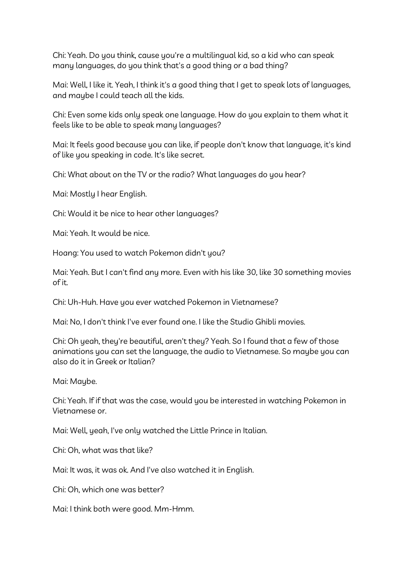Chi: Yeah. Do you think, cause you're a multilingual kid, so a kid who can speak many languages, do you think that's a good thing or a bad thing?

Mai: Well, I like it. Yeah, I think it's a good thing that I get to speak lots of languages, and maybe I could teach all the kids.

Chi: Even some kids only speak one language. How do you explain to them what it feels like to be able to speak many languages?

Mai: It feels good because you can like, if people don't know that language, it's kind of like you speaking in code. It's like secret.

Chi: What about on the TV or the radio? What languages do you hear?

Mai: Mostly I hear English.

Chi: Would it be nice to hear other languages?

Mai: Yeah. It would be nice.

Hoang: You used to watch Pokemon didn't you?

Mai: Yeah. But I can't find any more. Even with his like 30, like 30 something movies of it.

Chi: Uh-Huh. Have you ever watched Pokemon in Vietnamese?

Mai: No, I don't think I've ever found one. I like the Studio Ghibli movies.

Chi: Oh yeah, they're beautiful, aren't they? Yeah. So I found that a few of those animations you can set the language, the audio to Vietnamese. So maybe you can also do it in Greek or Italian?

Mai: Maybe.

Chi: Yeah. If if that was the case, would you be interested in watching Pokemon in Vietnamese or.

Mai: Well, yeah, I've only watched the Little Prince in Italian.

Chi: Oh, what was that like?

Mai: It was, it was ok. And I've also watched it in English.

Chi: Oh, which one was better?

Mai: I think both were good. Mm-Hmm.